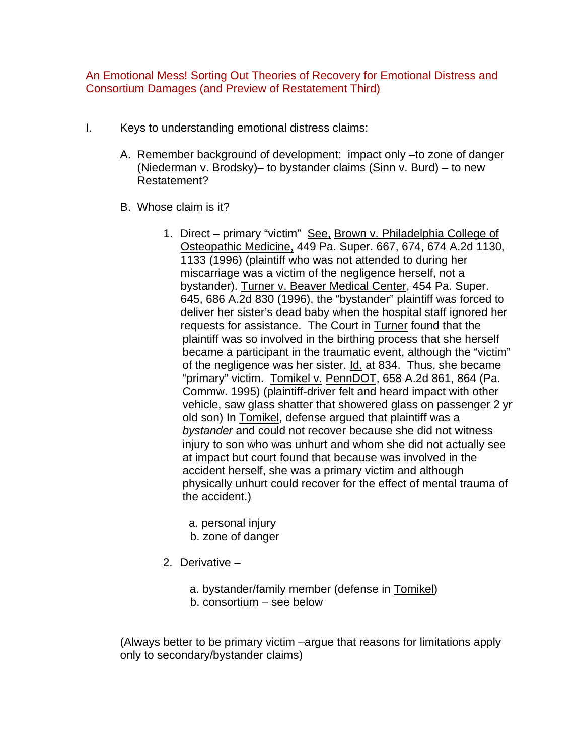An Emotional Mess! Sorting Out Theories of Recovery for Emotional Distress and Consortium Damages (and Preview of Restatement Third)

- I. Keys to understanding emotional distress claims:
	- A. Remember background of development: impact only –to zone of danger (Niederman v. Brodsky)– to bystander claims (Sinn v. Burd) – to new Restatement?
	- B. Whose claim is it?
		- 1. Direct primary "victim" See, Brown v. Philadelphia College of Osteopathic Medicine, 449 Pa. Super. 667, 674, 674 A.2d 1130, 1133 (1996) (plaintiff who was not attended to during her miscarriage was a victim of the negligence herself, not a bystander). Turner v. Beaver Medical Center, 454 Pa. Super. 645, 686 A.2d 830 (1996), the "bystander" plaintiff was forced to deliver her sister's dead baby when the hospital staff ignored her requests for assistance. The Court in Turner found that the plaintiff was so involved in the birthing process that she herself became a participant in the traumatic event, although the "victim" of the negligence was her sister. Id. at 834. Thus, she became "primary" victim. Tomikel v. PennDOT, 658 A.2d 861, 864 (Pa. Commw. 1995) (plaintiff-driver felt and heard impact with other vehicle, saw glass shatter that showered glass on passenger 2 yr old son) In Tomikel, defense argued that plaintiff was a *bystander* and could not recover because she did not witness injury to son who was unhurt and whom she did not actually see at impact but court found that because was involved in the accident herself, she was a primary victim and although physically unhurt could recover for the effect of mental trauma of the accident.)
			- a. personal injury
			- b. zone of danger
		- 2. Derivative
			- a. bystander/family member (defense in Tomikel) b. consortium – see below

(Always better to be primary victim –argue that reasons for limitations apply only to secondary/bystander claims)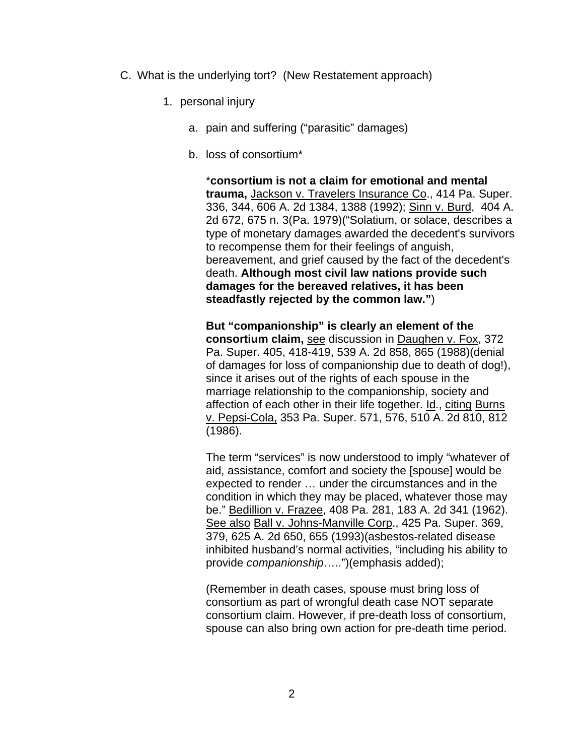- C. What is the underlying tort? (New Restatement approach)
	- 1. personal injury
		- a. pain and suffering ("parasitic" damages)
		- b. loss of consortium\*

\***consortium is not a claim for emotional and mental trauma,** Jackson v. Travelers Insurance Co., 414 Pa. Super. 336, 344, 606 A. 2d 1384, 1388 (1992); Sinn v. Burd, 404 A. 2d 672, 675 n. 3(Pa. 1979)("Solatium, or solace, describes a type of monetary damages awarded the decedent's survivors to recompense them for their feelings of anguish, bereavement, and grief caused by the fact of the decedent's death. **Although most civil law nations provide such damages for the bereaved relatives, it has been steadfastly rejected by the common law."**)

**But "companionship" is clearly an element of the consortium claim,** see discussion in Daughen v. Fox, 372 Pa. Super. 405, 418-419, 539 A. 2d 858, 865 (1988)(denial of damages for loss of companionship due to death of dog!), since it arises out of the rights of each spouse in the marriage relationship to the companionship, society and affection of each other in their life together. Id., citing Burns v. Pepsi-Cola, 353 Pa. Super. 571, 576, 510 A. 2d 810, 812 (1986).

The term "services" is now understood to imply "whatever of aid, assistance, comfort and society the [spouse] would be expected to render … under the circumstances and in the condition in which they may be placed, whatever those may be." Bedillion v. Frazee, 408 Pa. 281, 183 A. 2d 341 (1962). See also Ball v. Johns-Manville Corp., 425 Pa. Super. 369, 379, 625 A. 2d 650, 655 (1993)(asbestos-related disease inhibited husband's normal activities, "including his ability to provide *companionship*…..")(emphasis added);

(Remember in death cases, spouse must bring loss of consortium as part of wrongful death case NOT separate consortium claim. However, if pre-death loss of consortium, spouse can also bring own action for pre-death time period.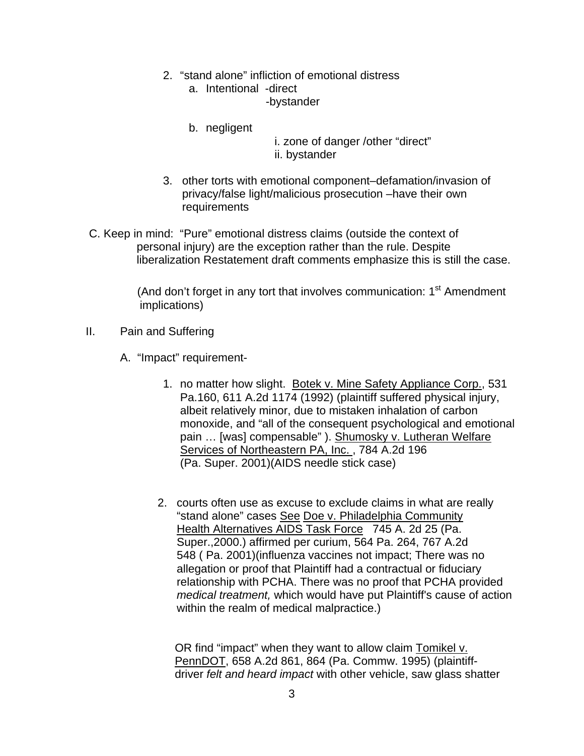- 2. "stand alone" infliction of emotional distress
	- a. Intentional -direct -bystander
	- b. negligent
- i. zone of danger /other "direct"
- ii. bystander
- 3. other torts with emotional component–defamation/invasion of privacy/false light/malicious prosecution –have their own requirements
- C. Keep in mind: "Pure" emotional distress claims (outside the context of personal injury) are the exception rather than the rule. Despite liberalization Restatement draft comments emphasize this is still the case.

(And don't forget in any tort that involves communication:  $1<sup>st</sup>$  Amendment implications)

- II. Pain and Suffering
	- A. "Impact" requirement-
		- 1. no matter how slight. Botek v. Mine Safety Appliance Corp., 531 Pa.160, 611 A.2d 1174 (1992) (plaintiff suffered physical injury, albeit relatively minor, due to mistaken inhalation of carbon monoxide, and "all of the consequent psychological and emotional pain … [was] compensable" ). Shumosky v. Lutheran Welfare Services of Northeastern PA, Inc. , 784 A.2d 196 (Pa. Super. 2001)(AIDS needle stick case)
		- 2. courts often use as excuse to exclude claims in what are really "stand alone" cases See Doe v. Philadelphia Community Health Alternatives AIDS Task Force 745 A. 2d 25 (Pa. Super.,2000.) affirmed per curium, 564 Pa. 264, 767 A.2d 548 ( Pa. 2001)(influenza vaccines not impact; There was no allegation or proof that Plaintiff had a contractual or fiduciary relationship with PCHA. There was no proof that PCHA provided *medical treatment,* which would have put Plaintiff's cause of action within the realm of medical malpractice.)

 OR find "impact" when they want to allow claim Tomikel v. PennDOT, 658 A.2d 861, 864 (Pa. Commw. 1995) (plaintiff driver *felt and heard impact* with other vehicle, saw glass shatter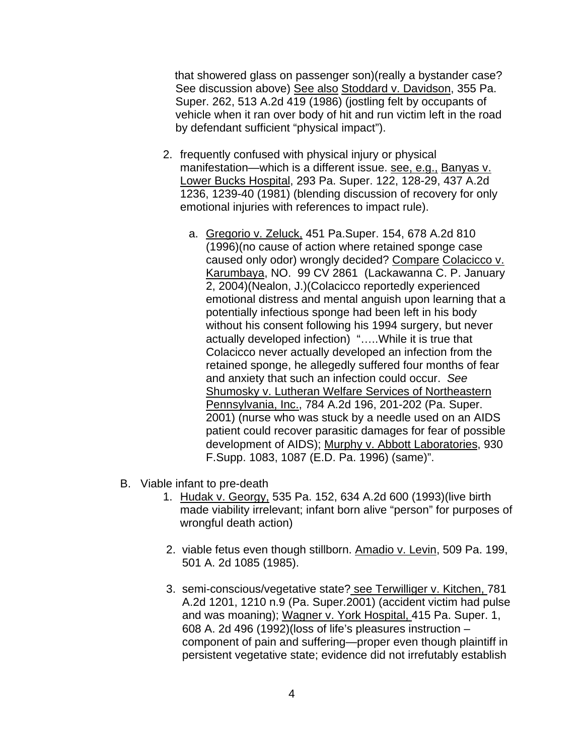that showered glass on passenger son)(really a bystander case? See discussion above) See also Stoddard v. Davidson, 355 Pa. Super. 262, 513 A.2d 419 (1986) (jostling felt by occupants of vehicle when it ran over body of hit and run victim left in the road by defendant sufficient "physical impact").

- 2. frequently confused with physical injury or physical manifestation—which is a different issue. see, e.g., Banyas v. Lower Bucks Hospital, 293 Pa. Super. 122, 128-29, 437 A.2d 1236, 1239-40 (1981) (blending discussion of recovery for only emotional injuries with references to impact rule).
	- a. Gregorio v. Zeluck, 451 Pa.Super. 154, 678 A.2d 810 (1996)(no cause of action where retained sponge case caused only odor) wrongly decided? Compare Colacicco v. Karumbaya, NO. 99 CV 2861 (Lackawanna C. P. January 2, 2004)(Nealon, J.)(Colacicco reportedly experienced emotional distress and mental anguish upon learning that a potentially infectious sponge had been left in his body without his consent following his 1994 surgery, but never actually developed infection) "…..While it is true that Colacicco never actually developed an infection from the retained sponge, he allegedly suffered four months of fear and anxiety that such an infection could occur. *See* Shumosky v. Lutheran Welfare Services of Northeastern Pennsylvania, Inc., 784 A.2d 196, 201-202 (Pa. Super. 2001) (nurse who was stuck by a needle used on an AIDS patient could recover parasitic damages for fear of possible development of AIDS); Murphy v. Abbott Laboratories, 930 F.Supp. 1083, 1087 (E.D. Pa. 1996) (same)".
- B. Viable infant to pre-death
	- 1. Hudak v. Georgy, 535 Pa. 152, 634 A.2d 600 (1993)(live birth made viability irrelevant; infant born alive "person" for purposes of wrongful death action)
	- 2. viable fetus even though stillborn. Amadio v. Levin, 509 Pa. 199, 501 A. 2d 1085 (1985).
	- 3. semi-conscious/vegetative state? see Terwilliger v. Kitchen, 781 A.2d 1201, 1210 n.9 (Pa. Super.2001) (accident victim had pulse and was moaning); Wagner v. York Hospital, 415 Pa. Super. 1, 608 A. 2d 496 (1992)(loss of life's pleasures instruction – component of pain and suffering—proper even though plaintiff in persistent vegetative state; evidence did not irrefutably establish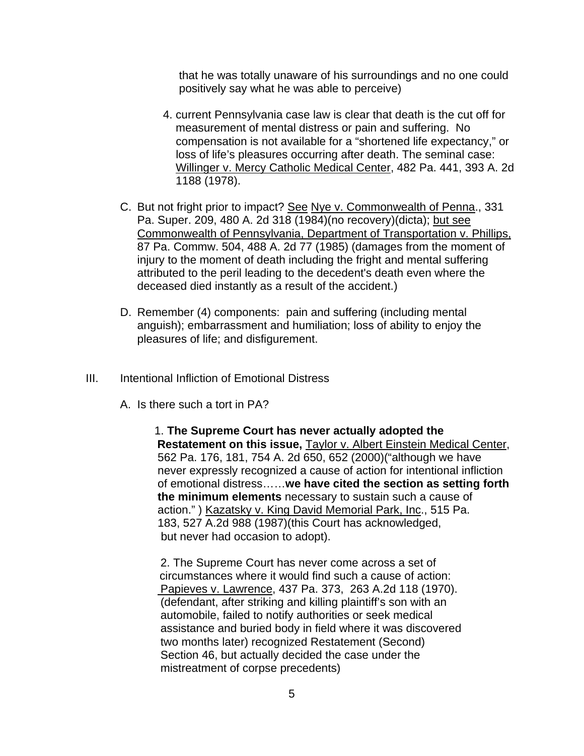that he was totally unaware of his surroundings and no one could positively say what he was able to perceive)

- 4. current Pennsylvania case law is clear that death is the cut off for measurement of mental distress or pain and suffering. No compensation is not available for a "shortened life expectancy," or loss of life's pleasures occurring after death. The seminal case: Willinger v. Mercy Catholic Medical Center, 482 Pa. 441, 393 A. 2d 1188 (1978).
- C. But not fright prior to impact? See Nye v. Commonwealth of Penna., 331 Pa. Super. 209, 480 A. 2d 318 (1984)(no recovery)(dicta); but see Commonwealth of Pennsylvania, Department of Transportation v. Phillips, 87 Pa. Commw. 504, 488 A. 2d 77 (1985) (damages from the moment of injury to the moment of death including the fright and mental suffering attributed to the peril leading to the decedent's death even where the deceased died instantly as a result of the accident.)
- D. Remember (4) components: pain and suffering (including mental anguish); embarrassment and humiliation; loss of ability to enjoy the pleasures of life; and disfigurement.
- III. Intentional Infliction of Emotional Distress
	- A. Is there such a tort in PA?

1. **The Supreme Court has never actually adopted the Restatement on this issue,** Taylor v. Albert Einstein Medical Center, 562 Pa. 176, 181, 754 A. 2d 650, 652 (2000)("although we have never expressly recognized a cause of action for intentional infliction of emotional distress……**we have cited the section as setting forth the minimum elements** necessary to sustain such a cause of action." ) Kazatsky v. King David Memorial Park, Inc., 515 Pa. 183, 527 A.2d 988 (1987)(this Court has acknowledged, but never had occasion to adopt).

 2. The Supreme Court has never come across a set of circumstances where it would find such a cause of action: Papieves v. Lawrence, 437 Pa. 373, 263 A.2d 118 (1970). (defendant, after striking and killing plaintiff's son with an automobile, failed to notify authorities or seek medical assistance and buried body in field where it was discovered two months later) recognized Restatement (Second) Section 46, but actually decided the case under the mistreatment of corpse precedents)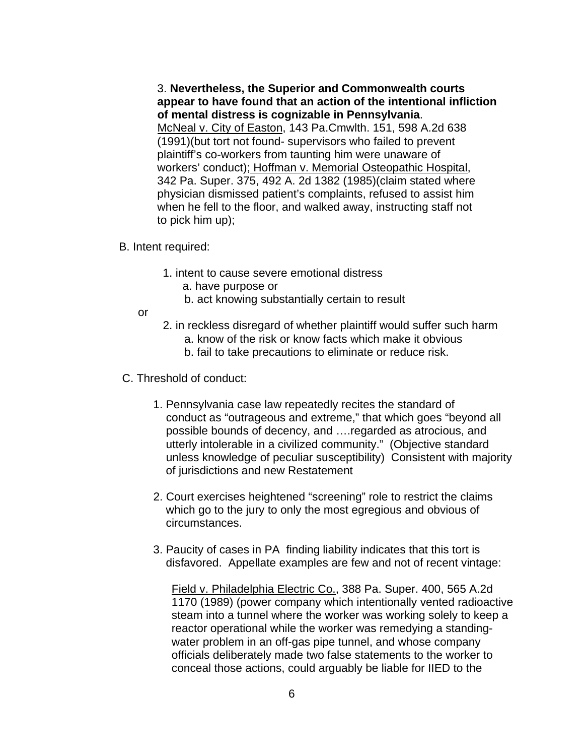3. **Nevertheless, the Superior and Commonwealth courts appear to have found that an action of the intentional infliction of mental distress is cognizable in Pennsylvania**. McNeal v. City of Easton, 143 Pa.Cmwlth. 151, 598 A.2d 638 (1991)(but tort not found- supervisors who failed to prevent plaintiff's co-workers from taunting him were unaware of workers' conduct); Hoffman v. Memorial Osteopathic Hospital, 342 Pa. Super. 375, 492 A. 2d 1382 (1985)(claim stated where physician dismissed patient's complaints, refused to assist him when he fell to the floor, and walked away, instructing staff not to pick him up);

- B. Intent required:
	- 1. intent to cause severe emotional distress
		- a. have purpose or
		- b. act knowing substantially certain to result
	- or
- 2. in reckless disregard of whether plaintiff would suffer such harm
	- a. know of the risk or know facts which make it obvious
	- b. fail to take precautions to eliminate or reduce risk.
- C. Threshold of conduct:
	- 1. Pennsylvania case law repeatedly recites the standard of conduct as "outrageous and extreme," that which goes "beyond all possible bounds of decency, and ….regarded as atrocious, and utterly intolerable in a civilized community." (Objective standard unless knowledge of peculiar susceptibility) Consistent with majority of jurisdictions and new Restatement
	- 2. Court exercises heightened "screening" role to restrict the claims which go to the jury to only the most egregious and obvious of circumstances.
	- 3. Paucity of cases in PA finding liability indicates that this tort is disfavored. Appellate examples are few and not of recent vintage:

Field v. Philadelphia Electric Co., 388 Pa. Super. 400, 565 A.2d 1170 (1989) (power company which intentionally vented radioactive steam into a tunnel where the worker was working solely to keep a reactor operational while the worker was remedying a standingwater problem in an off-gas pipe tunnel, and whose company officials deliberately made two false statements to the worker to conceal those actions, could arguably be liable for IIED to the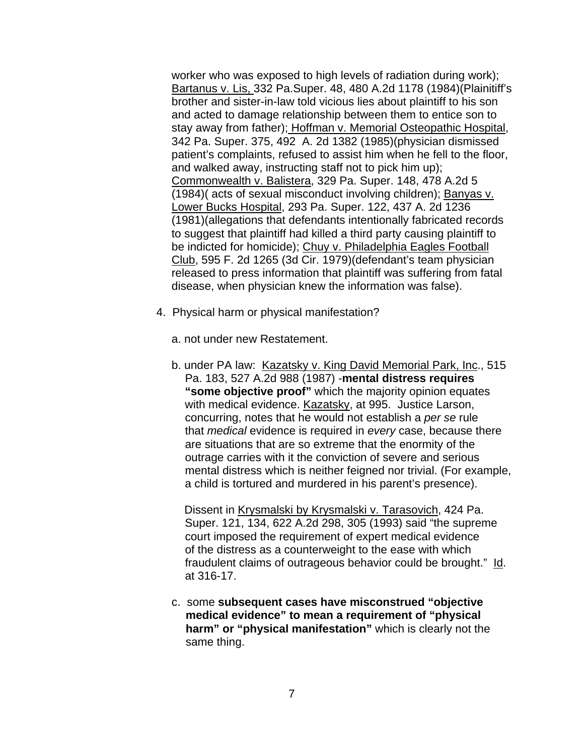worker who was exposed to high levels of radiation during work); Bartanus v. Lis, 332 Pa.Super. 48, 480 A.2d 1178 (1984)(Plainitiff's brother and sister-in-law told vicious lies about plaintiff to his son and acted to damage relationship between them to entice son to stay away from father); Hoffman v. Memorial Osteopathic Hospital, 342 Pa. Super. 375, 492 A. 2d 1382 (1985)(physician dismissed patient's complaints, refused to assist him when he fell to the floor, and walked away, instructing staff not to pick him up); Commonwealth v. Balistera, 329 Pa. Super. 148, 478 A.2d 5 (1984)( acts of sexual misconduct involving children); Banyas v. Lower Bucks Hospital, 293 Pa. Super. 122, 437 A. 2d 1236 (1981)(allegations that defendants intentionally fabricated records to suggest that plaintiff had killed a third party causing plaintiff to be indicted for homicide); Chuy v. Philadelphia Eagles Football Club, 595 F. 2d 1265 (3d Cir. 1979)(defendant's team physician released to press information that plaintiff was suffering from fatal disease, when physician knew the information was false).

- 4. Physical harm or physical manifestation?
	- a. not under new Restatement.
	- b. under PA law: Kazatsky v. King David Memorial Park, Inc., 515 Pa. 183, 527 A.2d 988 (1987) -**mental distress requires "some objective proof"** which the majority opinion equates with medical evidence. Kazatsky, at 995. Justice Larson, concurring, notes that he would not establish a *per se* rule that *medical* evidence is required in *every* case, because there are situations that are so extreme that the enormity of the outrage carries with it the conviction of severe and serious mental distress which is neither feigned nor trivial. (For example, a child is tortured and murdered in his parent's presence).

 Dissent in Krysmalski by Krysmalski v. Tarasovich, 424 Pa. Super. 121, 134, 622 A.2d 298, 305 (1993) said "the supreme court imposed the requirement of expert medical evidence of the distress as a counterweight to the ease with which fraudulent claims of outrageous behavior could be brought." Id. at 316-17.

 c. some **subsequent cases have misconstrued "objective medical evidence" to mean a requirement of "physical harm" or "physical manifestation"** which is clearly not the same thing.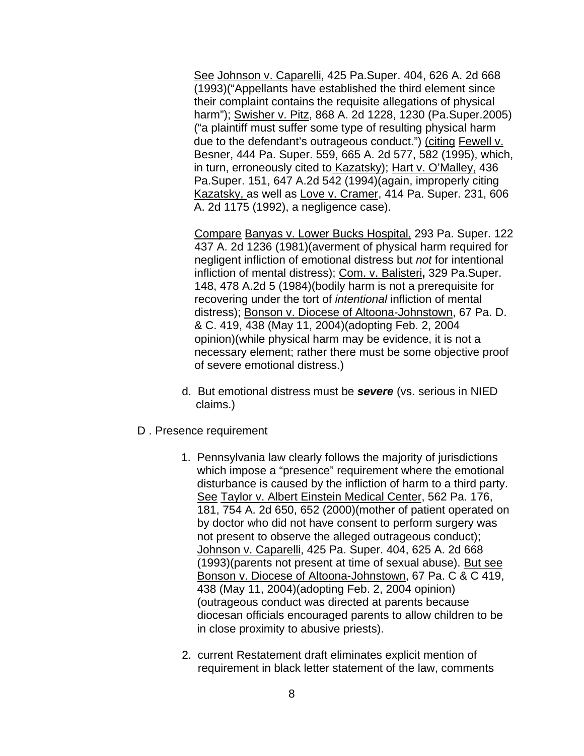See Johnson v. Caparelli, 425 Pa.Super. 404, 626 A. 2d 668 (1993)("Appellants have established the third element since their complaint contains the requisite allegations of physical harm"); Swisher v. Pitz, 868 A. 2d 1228, 1230 (Pa.Super.2005) ("a plaintiff must suffer some type of resulting physical harm due to the defendant's outrageous conduct.") (citing Fewell v. Besner, 444 Pa. Super. 559, 665 A. 2d 577, 582 (1995), which, in turn, erroneously cited to Kazatsky); Hart v. O'Malley, 436 Pa.Super. 151, 647 A.2d 542 (1994)(again, improperly citing Kazatsky, as well as Love v. Cramer, 414 Pa. Super. 231, 606 A. 2d 1175 (1992), a negligence case).

Compare Banyas v. Lower Bucks Hospital, 293 Pa. Super. 122 437 A. 2d 1236 (1981)(averment of physical harm required for negligent infliction of emotional distress but *not* for intentional infliction of mental distress); Com. v. Balisteri**,** 329 Pa.Super. 148, 478 A.2d 5 (1984)(bodily harm is not a prerequisite for recovering under the tort of *intentional* infliction of mental distress); Bonson v. Diocese of Altoona-Johnstown, 67 Pa. D. & C. 419, 438 (May 11, 2004)(adopting Feb. 2, 2004 opinion)(while physical harm may be evidence, it is not a necessary element; rather there must be some objective proof of severe emotional distress.)

- d. But emotional distress must be *severe* (vs. serious in NIED claims.)
- D . Presence requirement
	- 1. Pennsylvania law clearly follows the majority of jurisdictions which impose a "presence" requirement where the emotional disturbance is caused by the infliction of harm to a third party. See Taylor v. Albert Einstein Medical Center, 562 Pa. 176, 181, 754 A. 2d 650, 652 (2000)(mother of patient operated on by doctor who did not have consent to perform surgery was not present to observe the alleged outrageous conduct); Johnson v. Caparelli, 425 Pa. Super. 404, 625 A. 2d 668 (1993)(parents not present at time of sexual abuse). But see Bonson v. Diocese of Altoona-Johnstown, 67 Pa. C & C 419, 438 (May 11, 2004)(adopting Feb. 2, 2004 opinion) (outrageous conduct was directed at parents because diocesan officials encouraged parents to allow children to be in close proximity to abusive priests).
	- 2. current Restatement draft eliminates explicit mention of requirement in black letter statement of the law, comments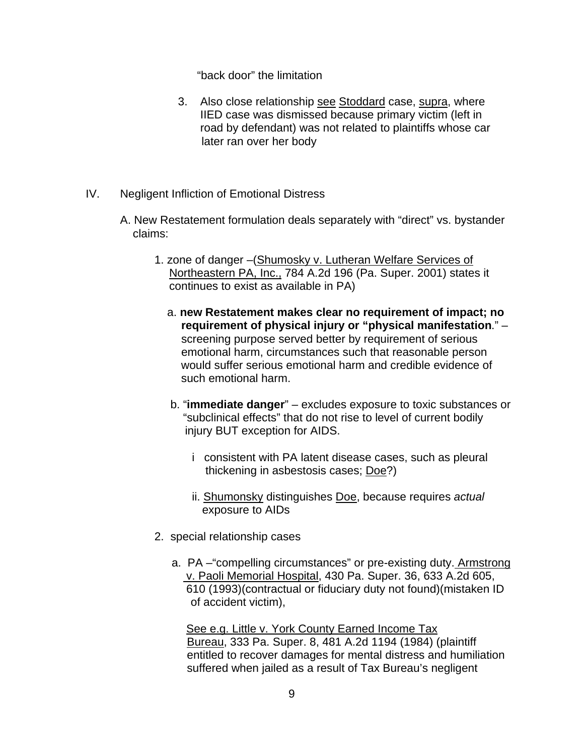"back door" the limitation

- 3. Also close relationship see Stoddard case, supra, where IIED case was dismissed because primary victim (left in road by defendant) was not related to plaintiffs whose car later ran over her body
- IV. Negligent Infliction of Emotional Distress
	- A. New Restatement formulation deals separately with "direct" vs. bystander claims:
		- 1. zone of danger –(Shumosky v. Lutheran Welfare Services of Northeastern PA, Inc., 784 A.2d 196 (Pa. Super. 2001) states it continues to exist as available in PA)
			- a. **new Restatement makes clear no requirement of impact; no requirement of physical injury or "physical manifestation**." – screening purpose served better by requirement of serious emotional harm, circumstances such that reasonable person would suffer serious emotional harm and credible evidence of such emotional harm.
			- b. "**immediate danger**" excludes exposure to toxic substances or "subclinical effects" that do not rise to level of current bodily injury BUT exception for AIDS.
				- i consistent with PA latent disease cases, such as pleural thickening in asbestosis cases; Doe?)
				- ii. Shumonsky distinguishes Doe, because requires *actual*  exposure to AIDs
		- 2. special relationship cases
			- a. PA –"compelling circumstances" or pre-existing duty. Armstrong v. Paoli Memorial Hospital, 430 Pa. Super. 36, 633 A.2d 605, 610 (1993)(contractual or fiduciary duty not found)(mistaken ID of accident victim),

 See e.g. Little v. York County Earned Income Tax Bureau, 333 Pa. Super. 8, 481 A.2d 1194 (1984) (plaintiff entitled to recover damages for mental distress and humiliation suffered when jailed as a result of Tax Bureau's negligent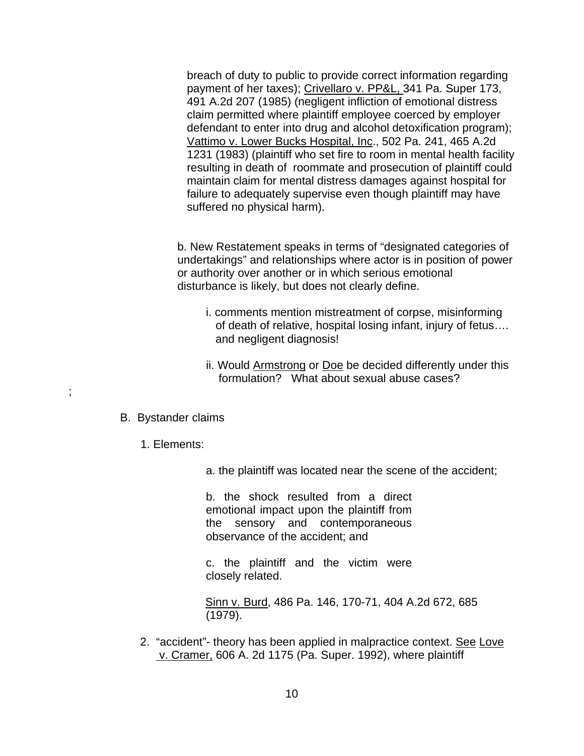breach of duty to public to provide correct information regarding payment of her taxes); Crivellaro v. PP&L, 341 Pa. Super 173, 491 A.2d 207 (1985) (negligent infliction of emotional distress claim permitted where plaintiff employee coerced by employer defendant to enter into drug and alcohol detoxification program); Vattimo v. Lower Bucks Hospital, Inc., 502 Pa. 241, 465 A.2d 1231 (1983) (plaintiff who set fire to room in mental health facility resulting in death of roommate and prosecution of plaintiff could maintain claim for mental distress damages against hospital for failure to adequately supervise even though plaintiff may have suffered no physical harm).

b. New Restatement speaks in terms of "designated categories of undertakings" and relationships where actor is in position of power or authority over another or in which serious emotional disturbance is likely, but does not clearly define.

- i. comments mention mistreatment of corpse, misinforming of death of relative, hospital losing infant, injury of fetus…. and negligent diagnosis!
- ii. Would **Armstrong or Doe** be decided differently under this formulation? What about sexual abuse cases?

## B. Bystander claims

;

- 1. Elements:
	- a. the plaintiff was located near the scene of the accident;

 b. the shock resulted from a direct emotional impact upon the plaintiff from the sensory and contemporaneous observance of the accident; and

 c. the plaintiff and the victim were closely related.

Sinn v. Burd, 486 Pa. 146, 170-71, 404 A.2d 672, 685 (1979).

2. "accident"- theory has been applied in malpractice context. See Love v. Cramer, 606 A. 2d 1175 (Pa. Super. 1992), where plaintiff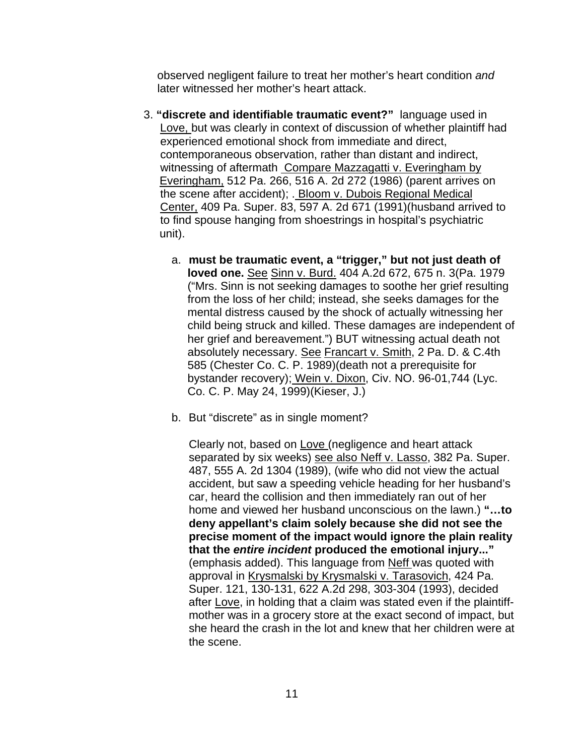observed negligent failure to treat her mother's heart condition *and* later witnessed her mother's heart attack.

- 3. **"discrete and identifiable traumatic event?"** language used in Love, but was clearly in context of discussion of whether plaintiff had experienced emotional shock from immediate and direct, contemporaneous observation, rather than distant and indirect, witnessing of aftermath Compare Mazzagatti v. Everingham by Everingham, 512 Pa. 266, 516 A. 2d 272 (1986) (parent arrives on the scene after accident); . Bloom v. Dubois Regional Medical Center, 409 Pa. Super. 83, 597 A. 2d 671 (1991)(husband arrived to to find spouse hanging from shoestrings in hospital's psychiatric unit).
	- a. **must be traumatic event, a "trigger," but not just death of loved one.** See Sinn v. Burd. 404 A.2d 672, 675 n. 3(Pa. 1979 ("Mrs. Sinn is not seeking damages to soothe her grief resulting from the loss of her child; instead, she seeks damages for the mental distress caused by the shock of actually witnessing her child being struck and killed. These damages are independent of her grief and bereavement.") BUT witnessing actual death not absolutely necessary. See Francart v. Smith, 2 Pa. D. & C.4th 585 (Chester Co. C. P. 1989)(death not a prerequisite for bystander recovery); Wein v. Dixon, Civ. NO. 96-01,744 (Lyc. Co. C. P. May 24, 1999)(Kieser, J.)
	- b. But "discrete" as in single moment?

Clearly not, based on Love (negligence and heart attack separated by six weeks) see also Neff v. Lasso, 382 Pa. Super. 487, 555 A. 2d 1304 (1989), (wife who did not view the actual accident, but saw a speeding vehicle heading for her husband's car, heard the collision and then immediately ran out of her home and viewed her husband unconscious on the lawn.) **"…to deny appellant's claim solely because she did not see the precise moment of the impact would ignore the plain reality that the** *entire incident* **produced the emotional injury..."**  (emphasis added). This language from Neff was quoted with approval in Krysmalski by Krysmalski v. Tarasovich, 424 Pa. Super. 121, 130-131, 622 A.2d 298, 303-304 (1993), decided after Love, in holding that a claim was stated even if the plaintiffmother was in a grocery store at the exact second of impact, but she heard the crash in the lot and knew that her children were at the scene.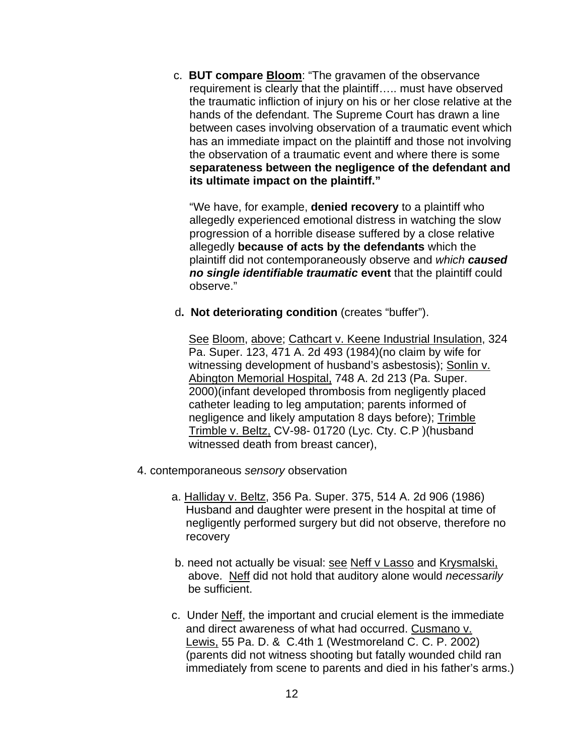c. **BUT compare Bloom**: "The gravamen of the observance requirement is clearly that the plaintiff….. must have observed the traumatic infliction of injury on his or her close relative at the hands of the defendant. The Supreme Court has drawn a line between cases involving observation of a traumatic event which has an immediate impact on the plaintiff and those not involving the observation of a traumatic event and where there is some **separateness between the negligence of the defendant and its ultimate impact on the plaintiff."** 

 "We have, for example, **denied recovery** to a plaintiff who allegedly experienced emotional distress in watching the slow progression of a horrible disease suffered by a close relative allegedly **because of acts by the defendants** which the plaintiff did not contemporaneously observe and *which caused no single identifiable traumatic* **event** that the plaintiff could observe."

d**. Not deteriorating condition** (creates "buffer").

See Bloom, above; Cathcart v. Keene Industrial Insulation, 324 Pa. Super. 123, 471 A. 2d 493 (1984)(no claim by wife for witnessing development of husband's asbestosis); Sonlin v. Abington Memorial Hospital, 748 A. 2d 213 (Pa. Super. 2000)(infant developed thrombosis from negligently placed catheter leading to leg amputation; parents informed of negligence and likely amputation 8 days before); Trimble Trimble v. Beltz, CV-98- 01720 (Lyc. Cty. C.P )(husband witnessed death from breast cancer),

- 4. contemporaneous *sensory* observation
	- a. Halliday v. Beltz, 356 Pa. Super. 375, 514 A. 2d 906 (1986) Husband and daughter were present in the hospital at time of negligently performed surgery but did not observe, therefore no recovery
	- b. need not actually be visual: see Neff v Lasso and Krysmalski, above. Neff did not hold that auditory alone would *necessarily* be sufficient.
	- c. Under Neff, the important and crucial element is the immediate and direct awareness of what had occurred. Cusmano v. Lewis, 55 Pa. D. & C.4th 1 (Westmoreland C. C. P. 2002) (parents did not witness shooting but fatally wounded child ran immediately from scene to parents and died in his father's arms.)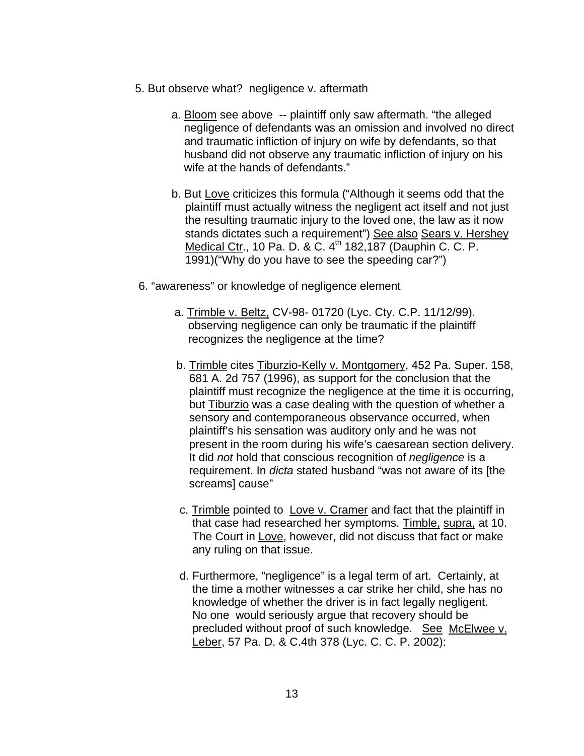- 5. But observe what? negligence v. aftermath
	- a. Bloom see above -- plaintiff only saw aftermath. "the alleged negligence of defendants was an omission and involved no direct and traumatic infliction of injury on wife by defendants, so that husband did not observe any traumatic infliction of injury on his wife at the hands of defendants."
	- b. But Love criticizes this formula ("Although it seems odd that the plaintiff must actually witness the negligent act itself and not just the resulting traumatic injury to the loved one, the law as it now stands dictates such a requirement") See also Sears v. Hershey Medical Ctr., 10 Pa. D. & C. 4<sup>th</sup> 182, 187 (Dauphin C. C. P. 1991)("Why do you have to see the speeding car?")
- 6. "awareness" or knowledge of negligence element
	- a. Trimble v. Beltz, CV-98- 01720 (Lyc. Cty. C.P. 11/12/99). observing negligence can only be traumatic if the plaintiff recognizes the negligence at the time?
	- b. Trimble cites Tiburzio-Kelly v. Montgomery, 452 Pa. Super. 158, 681 A. 2d 757 (1996), as support for the conclusion that the plaintiff must recognize the negligence at the time it is occurring, but Tiburzio was a case dealing with the question of whether a sensory and contemporaneous observance occurred, when plaintiff's his sensation was auditory only and he was not present in the room during his wife's caesarean section delivery. It did *not* hold that conscious recognition of *negligence* is a requirement. In *dicta* stated husband "was not aware of its [the screams] cause"
	- c. Trimble pointed to Love v. Cramer and fact that the plaintiff in that case had researched her symptoms. Timble, supra, at 10. The Court in Love, however, did not discuss that fact or make any ruling on that issue.
	- d. Furthermore, "negligence" is a legal term of art. Certainly, at the time a mother witnesses a car strike her child, she has no knowledge of whether the driver is in fact legally negligent. No one would seriously argue that recovery should be precluded without proof of such knowledge. See McElwee v. Leber, 57 Pa. D. & C.4th 378 (Lyc. C. C. P. 2002):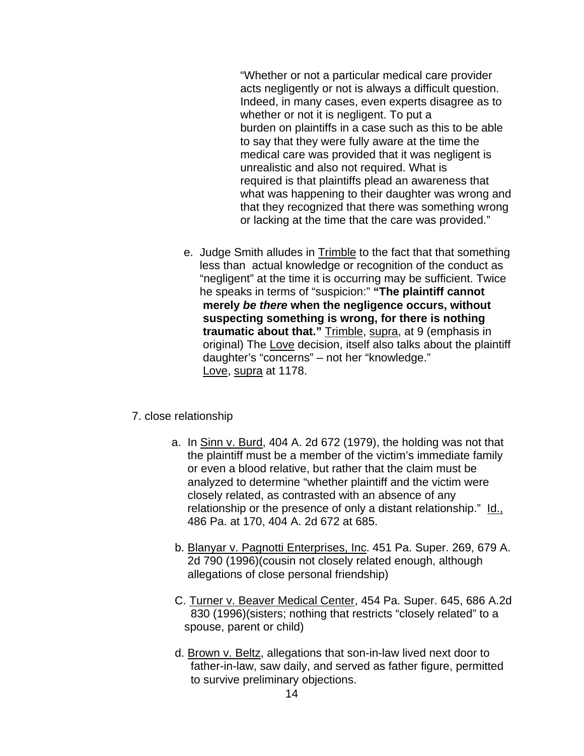"Whether or not a particular medical care provider acts negligently or not is always a difficult question. Indeed, in many cases, even experts disagree as to whether or not it is negligent. To put a burden on plaintiffs in a case such as this to be able to say that they were fully aware at the time the medical care was provided that it was negligent is unrealistic and also not required. What is required is that plaintiffs plead an awareness that what was happening to their daughter was wrong and that they recognized that there was something wrong or lacking at the time that the care was provided."

e. Judge Smith alludes in Trimble to the fact that that something less than actual knowledge or recognition of the conduct as "negligent" at the time it is occurring may be sufficient. Twice he speaks in terms of "suspicion:" **"The plaintiff cannot merely** *be there* **when the negligence occurs, without suspecting something is wrong, for there is nothing traumatic about that."** Trimble, supra, at 9 (emphasis in original) The Love decision, itself also talks about the plaintiff daughter's "concerns" – not her "knowledge." Love, supra at 1178.

## 7. close relationship

- a. In Sinn v. Burd, 404 A. 2d 672 (1979), the holding was not that the plaintiff must be a member of the victim's immediate family or even a blood relative, but rather that the claim must be analyzed to determine "whether plaintiff and the victim were closely related, as contrasted with an absence of any relationship or the presence of only a distant relationship." Id., 486 Pa. at 170, 404 A. 2d 672 at 685.
- b. Blanyar v. Pagnotti Enterprises, Inc. 451 Pa. Super. 269, 679 A. 2d 790 (1996)(cousin not closely related enough, although allegations of close personal friendship)
- C. Turner v. Beaver Medical Center, 454 Pa. Super. 645, 686 A.2d 830 (1996)(sisters; nothing that restricts "closely related" to a spouse, parent or child)
- d. Brown v. Beltz, allegations that son-in-law lived next door to father-in-law, saw daily, and served as father figure, permitted to survive preliminary objections.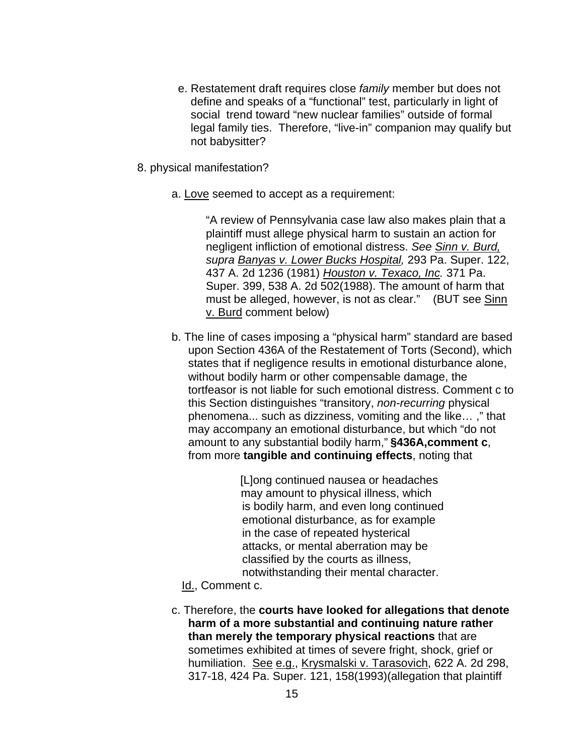- e. Restatement draft requires close *family* member but does not define and speaks of a "functional" test, particularly in light of social trend toward "new nuclear families" outside of formal legal family ties. Therefore, "live-in" companion may qualify but not babysitter?
- 8. physical manifestation?
	- a. Love seemed to accept as a requirement:

"A review of Pennsylvania case law also makes plain that a plaintiff must allege physical harm to sustain an action for negligent infliction of emotional distress. *See Sinn v. Burd, supra Banyas v. Lower Bucks Hospital,* 293 Pa. Super. 122, 437 A. 2d 1236 (1981) *Houston v. Texaco, Inc.* 371 Pa. Super. 399, 538 A. 2d 502(1988). The amount of harm that must be alleged, however, is not as clear." (BUT see Sinn v. Burd comment below)

b. The line of cases imposing a "physical harm" standard are based upon Section 436A of the Restatement of Torts (Second), which states that if negligence results in emotional disturbance alone, without bodily harm or other compensable damage, the tortfeasor is not liable for such emotional distress. Comment c to this Section distinguishes "transitory, *non-recurring* physical phenomena... such as dizziness, vomiting and the like… ," that may accompany an emotional disturbance, but which "do not amount to any substantial bodily harm," **§436A,comment c**, from more **tangible and continuing effects**, noting that

> [L]ong continued nausea or headaches may amount to physical illness, which is bodily harm, and even long continued emotional disturbance, as for example in the case of repeated hysterical attacks, or mental aberration may be classified by the courts as illness, notwithstanding their mental character.

Id., Comment c.

c. Therefore, the **courts have looked for allegations that denote harm of a more substantial and continuing nature rather than merely the temporary physical reactions** that are sometimes exhibited at times of severe fright, shock, grief or humiliation. See e.g., Krysmalski v. Tarasovich, 622 A. 2d 298, 317-18, 424 Pa. Super. 121, 158(1993)(allegation that plaintiff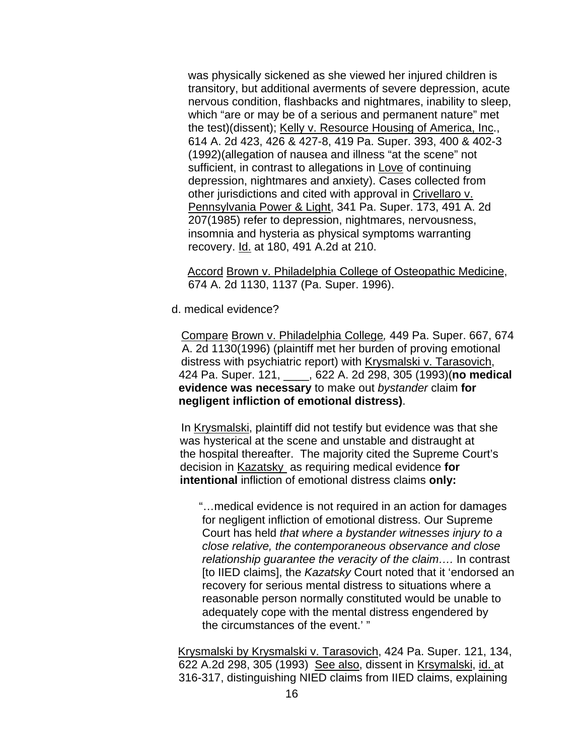was physically sickened as she viewed her injured children is transitory, but additional averments of severe depression, acute nervous condition, flashbacks and nightmares, inability to sleep, which "are or may be of a serious and permanent nature" met the test)(dissent); Kelly v. Resource Housing of America, Inc., 614 A. 2d 423, 426 & 427-8, 419 Pa. Super. 393, 400 & 402-3 (1992)(allegation of nausea and illness "at the scene" not sufficient, in contrast to allegations in Love of continuing depression, nightmares and anxiety). Cases collected from other jurisdictions and cited with approval in Crivellaro v. Pennsylvania Power & Light, 341 Pa. Super. 173, 491 A. 2d 207(1985) refer to depression, nightmares, nervousness, insomnia and hysteria as physical symptoms warranting recovery. Id. at 180, 491 A.2d at 210.

 Accord Brown v. Philadelphia College of Osteopathic Medicine, 674 A. 2d 1130, 1137 (Pa. Super. 1996).

d. medical evidence?

Compare Brown v. Philadelphia College*,* 449 Pa. Super. 667, 674 A. 2d 1130(1996) (plaintiff met her burden of proving emotional distress with psychiatric report) with Krysmalski v. Tarasovich, 424 Pa. Super. 121, \_\_\_\_, 622 A. 2d 298, 305 (1993)(**no medical evidence was necessary** to make out *bystander* claim **for negligent infliction of emotional distress)**.

 In Krysmalski, plaintiff did not testify but evidence was that she was hysterical at the scene and unstable and distraught at the hospital thereafter. The majority cited the Supreme Court's decision in Kazatsky as requiring medical evidence **for intentional** infliction of emotional distress claims **only:** 

 "…medical evidence is not required in an action for damages for negligent infliction of emotional distress. Our Supreme Court has held *that where a bystander witnesses injury to a close relative, the contemporaneous observance and close relationship guarantee the veracity of the claim….* In contrast [to IIED claims], the *Kazatsky* Court noted that it 'endorsed an recovery for serious mental distress to situations where a reasonable person normally constituted would be unable to adequately cope with the mental distress engendered by the circumstances of the event.' "

 Krysmalski by Krysmalski v. Tarasovich, 424 Pa. Super. 121, 134, 622 A.2d 298, 305 (1993) See also, dissent in Krsymalski, id. at 316-317, distinguishing NIED claims from IIED claims, explaining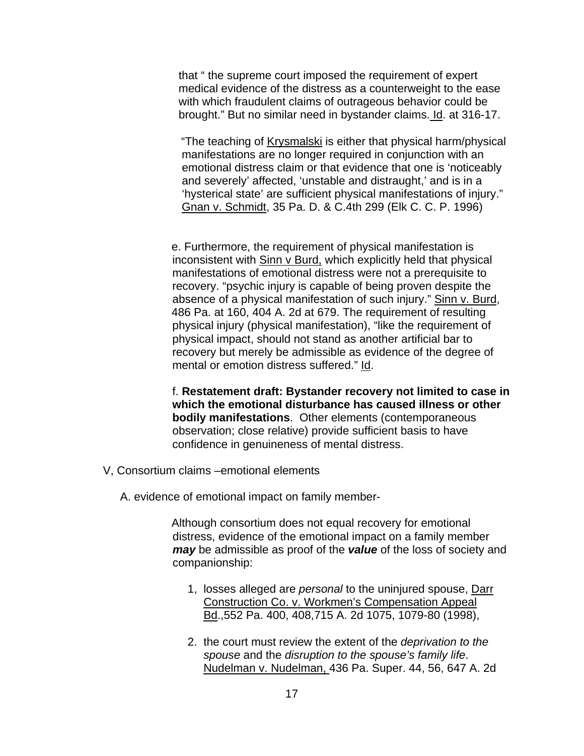that " the supreme court imposed the requirement of expert medical evidence of the distress as a counterweight to the ease with which fraudulent claims of outrageous behavior could be brought." But no similar need in bystander claims. Id. at 316-17.

"The teaching of Krysmalski is either that physical harm/physical manifestations are no longer required in conjunction with an emotional distress claim or that evidence that one is 'noticeably and severely' affected, 'unstable and distraught,' and is in a 'hysterical state' are sufficient physical manifestations of injury." Gnan v. Schmidt, 35 Pa. D. & C.4th 299 (Elk C. C. P. 1996)

e. Furthermore, the requirement of physical manifestation is inconsistent with Sinn v Burd, which explicitly held that physical manifestations of emotional distress were not a prerequisite to recovery. "psychic injury is capable of being proven despite the absence of a physical manifestation of such injury." Sinn v. Burd, 486 Pa. at 160, 404 A. 2d at 679. The requirement of resulting physical injury (physical manifestation), "like the requirement of physical impact, should not stand as another artificial bar to recovery but merely be admissible as evidence of the degree of mental or emotion distress suffered." Id.

 f. **Restatement draft: Bystander recovery not limited to case in which the emotional disturbance has caused illness or other bodily manifestations**. Other elements (contemporaneous observation; close relative) provide sufficient basis to have confidence in genuineness of mental distress.

- V, Consortium claims –emotional elements
	- A. evidence of emotional impact on family member-

Although consortium does not equal recovery for emotional distress, evidence of the emotional impact on a family member *may* be admissible as proof of the *value* of the loss of society and companionship:

- 1, losses alleged are *personal* to the uninjured spouse, Darr Construction Co. v. Workmen's Compensation Appeal Bd.,552 Pa. 400, 408,715 A. 2d 1075, 1079-80 (1998),
- 2. the court must review the extent of the *deprivation to the spouse* and the *disruption to the spouse's family life*. Nudelman v. Nudelman, 436 Pa. Super. 44, 56, 647 A. 2d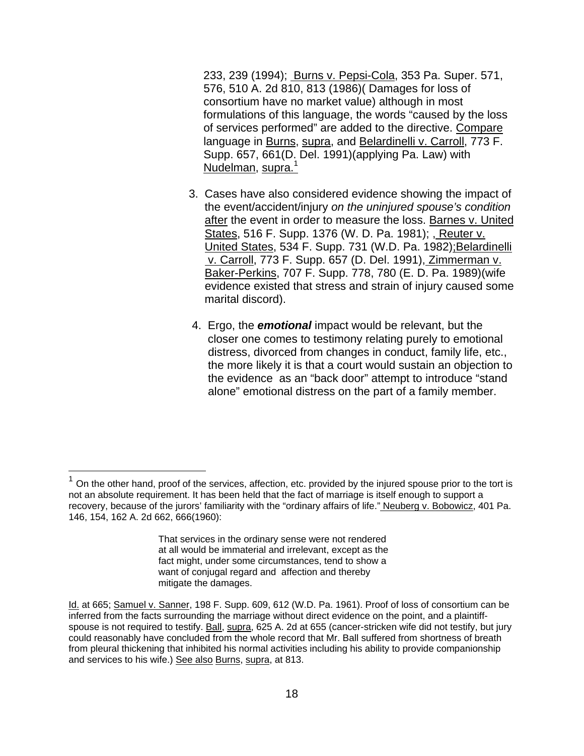233, 239 (1994); Burns v. Pepsi-Cola, 353 Pa. Super. 571, 576, 510 A. 2d 810, 813 (1986)( Damages for loss of consortium have no market value) although in most formulations of this language, the words "caused by the loss of services performed" are added to the directive. Compare language in Burns, supra, and Belardinelli v. Carroll, 773 F. Supp. 657, 661(D. Del. 1991)(applying Pa. Law) with Nudelman, supra.<sup>1</sup>

- 3. Cases have also considered evidence showing the impact of the event/accident/injury *on the uninjured spouse's condition* after the event in order to measure the loss. Barnes v. United States, 516 F. Supp. 1376 (W. D. Pa. 1981); , Reuter v. United States, 534 F. Supp. 731 (W.D. Pa. 1982); Belardinelli v. Carroll, 773 F. Supp. 657 (D. Del. 1991), Zimmerman v. Baker-Perkins, 707 F. Supp. 778, 780 (E. D. Pa. 1989)(wife evidence existed that stress and strain of injury caused some marital discord).
- 4. Ergo, the *emotional* impact would be relevant, but the closer one comes to testimony relating purely to emotional distress, divorced from changes in conduct, family life, etc., the more likely it is that a court would sustain an objection to the evidence as an "back door" attempt to introduce "stand alone" emotional distress on the part of a family member.

 $\overline{a}$ 

 $1$  On the other hand, proof of the services, affection, etc. provided by the injured spouse prior to the tort is not an absolute requirement. It has been held that the fact of marriage is itself enough to support a recovery, because of the jurors' familiarity with the "ordinary affairs of life." Neuberg v. Bobowicz, 401 Pa. 146, 154, 162 A. 2d 662, 666(1960):

That services in the ordinary sense were not rendered at all would be immaterial and irrelevant, except as the fact might, under some circumstances, tend to show a want of conjugal regard and affection and thereby mitigate the damages.

Id. at 665; Samuel v. Sanner, 198 F. Supp. 609, 612 (W.D. Pa. 1961). Proof of loss of consortium can be inferred from the facts surrounding the marriage without direct evidence on the point, and a plaintiffspouse is not required to testify. Ball, supra, 625 A. 2d at 655 (cancer-stricken wife did not testify, but jury could reasonably have concluded from the whole record that Mr. Ball suffered from shortness of breath from pleural thickening that inhibited his normal activities including his ability to provide companionship and services to his wife.) See also Burns, supra, at 813.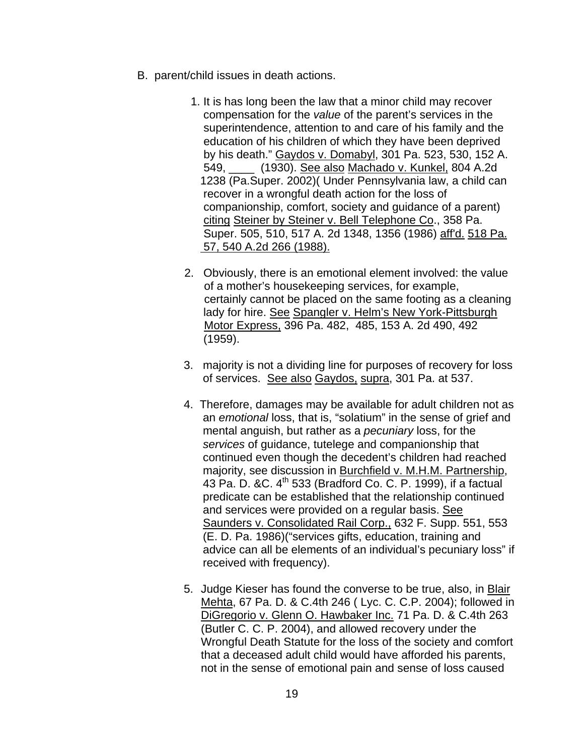- B. parent/child issues in death actions.
	- 1. It is has long been the law that a minor child may recover compensation for the *value* of the parent's services in the superintendence, attention to and care of his family and the education of his children of which they have been deprived by his death." Gaydos v. Domabyl, 301 Pa. 523, 530, 152 A. 549, \_\_\_\_ (1930). See also Machado v. Kunkel, 804 A.2d 1238 (Pa.Super. 2002)( Under Pennsylvania law, a child can recover in a wrongful death action for the loss of companionship, comfort, society and guidance of a parent) citing Steiner by Steiner v. Bell Telephone Co., 358 Pa. Super. 505, 510, 517 A. 2d 1348, 1356 (1986) aff'd. 518 Pa. 57, 540 A.2d 266 (1988).
	- 2. Obviously, there is an emotional element involved: the value of a mother's housekeeping services, for example, certainly cannot be placed on the same footing as a cleaning lady for hire. See Spangler v. Helm's New York-Pittsburgh Motor Express, 396 Pa. 482, 485, 153 A. 2d 490, 492 (1959).
	- 3. majority is not a dividing line for purposes of recovery for loss of services. See also Gaydos, supra, 301 Pa. at 537.
	- 4. Therefore, damages may be available for adult children not as an *emotional* loss, that is, "solatium" in the sense of grief and mental anguish, but rather as a *pecuniary* loss, for the *services* of guidance, tutelege and companionship that continued even though the decedent's children had reached majority, see discussion in Burchfield v. M.H.M. Partnership, 43 Pa. D. & C. 4<sup>th</sup> 533 (Bradford Co. C. P. 1999), if a factual predicate can be established that the relationship continued and services were provided on a regular basis. See Saunders v. Consolidated Rail Corp., 632 F. Supp. 551, 553 (E. D. Pa. 1986)("services gifts, education, training and advice can all be elements of an individual's pecuniary loss" if received with frequency).
	- 5. Judge Kieser has found the converse to be true, also, in Blair Mehta, 67 Pa. D. & C.4th 246 ( Lyc. C. C.P. 2004); followed in DiGregorio v. Glenn O. Hawbaker Inc. 71 Pa. D. & C.4th 263 (Butler C. C. P. 2004), and allowed recovery under the Wrongful Death Statute for the loss of the society and comfort that a deceased adult child would have afforded his parents, not in the sense of emotional pain and sense of loss caused